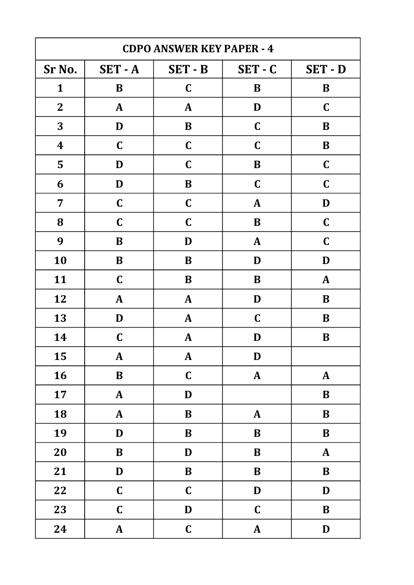| <b>CDPO ANSWER KEY PAPER - 4</b> |                |                |              |              |
|----------------------------------|----------------|----------------|--------------|--------------|
| Sr No.                           | <b>SET - A</b> | <b>SET - B</b> | $SET - C$    | SET - D      |
| $\mathbf{1}$                     | $\bf{B}$       | $\mathbf C$    | B            | $\bf{B}$     |
| $\overline{2}$                   | $\mathbf{A}$   | $\mathbf{A}$   | D            | $\mathbf C$  |
| 3                                | D              | $\bf{B}$       | $\mathbf C$  | B            |
| $\boldsymbol{4}$                 | $\mathbf C$    | $\mathbf C$    | $\mathbf C$  | B            |
| 5                                | D              | $\mathbf C$    | $\bf{B}$     | $\mathbf C$  |
| 6                                | D              | B              | $\mathbf C$  | $\mathbf C$  |
| $\overline{7}$                   | $\mathbf C$    | $\mathbf C$    | $\mathbf{A}$ | D            |
| 8                                | $\mathbf C$    | $\mathbf C$    | $\bf{B}$     | $\mathbf C$  |
| 9                                | B              | D              | $\mathbf{A}$ | $\mathbf C$  |
| 10                               | $\bf{B}$       | B              | D            | D            |
| 11                               | $\mathbf C$    | B              | B            | $\mathbf{A}$ |
| 12                               | $\mathbf{A}$   | $\mathbf{A}$   | D            | $\bf{B}$     |
| 13                               | D              | $\mathbf{A}$   | $\mathbf C$  | B            |
| 14                               | $\mathbf C$    | $\mathbf{A}$   | D            | B            |
| 15                               | $\mathbf{A}$   | ${\bf A}$      | $\mathbf D$  |              |
| 16                               | $\, {\bf B}$   | $\mathbf C$    | $\mathbf{A}$ | ${\bf A}$    |
| 17                               | $\mathbf{A}$   | D              |              | $\bf{B}$     |
| 18                               | $\pmb{A}$      | $\bf{B}$       | ${\bf A}$    | $\bf{B}$     |
| 19                               | D              | $\bf{B}$       | $\bf{B}$     | $\, {\bf B}$ |
| 20                               | $\bf{B}$       | D              | $\bf{B}$     | $\mathbf{A}$ |
| 21                               | D              | $\, {\bf B}$   | $\bf{B}$     | $\, {\bf B}$ |
| 22                               | $\mathbf C$    | $\mathbf C$    | $\mathbf D$  | D            |
| 23                               | $\mathbf C$    | $\mathbf D$    | $\mathbf C$  | $\, {\bf B}$ |
| 24                               | $\mathbf{A}$   | $\mathbf C$    | $\pmb{A}$    | $\mathbf D$  |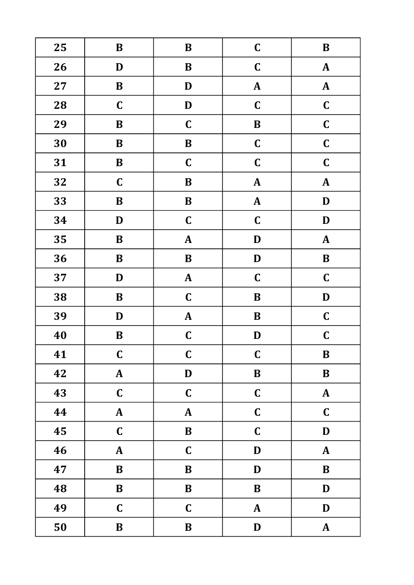| 25 | $\bf{B}$     | $\bf{B}$     | $\mathbf C$   | $\, {\bf B}$ |
|----|--------------|--------------|---------------|--------------|
| 26 | D            | $\, {\bf B}$ | $\mathbf C$   | $\mathbf{A}$ |
| 27 | $\bf{B}$     | D            | ${\bf A}$     | ${\bf A}$    |
| 28 | $\mathbf C$  | D            | $\mathbf C$   | $\mathbf C$  |
| 29 | $\bf{B}$     | $\mathbf C$  | $\, {\bf B}$  | $\mathbf C$  |
| 30 | $\bf{B}$     | $\, {\bf B}$ | $\mathbf C$   | $\mathbf C$  |
| 31 | $\bf{B}$     | $\mathbf C$  | $\mathbf C$   | $\mathbf C$  |
| 32 | $\mathbf C$  | $\, {\bf B}$ | ${\bf A}$     | $\mathbf{A}$ |
| 33 | $\bf{B}$     | $\bf{B}$     | $\pmb{A}$     | $\mathbf D$  |
| 34 | D            | $\mathbf C$  | $\mathbf C$   | D            |
| 35 | $\bf{B}$     | ${\bf A}$    | $\mathbf D$   | ${\bf A}$    |
| 36 | $\bf{B}$     | $\, {\bf B}$ | $\mathbf D$   | $\bf{B}$     |
| 37 | D            | ${\bf A}$    | $\mathbf C$   | $\mathbf C$  |
| 38 | $\bf{B}$     | $\mathbf C$  | $\, {\bf B}$  | $\mathbf D$  |
| 39 | D            | $\mathbf{A}$ | $\bf{B}$      | $\mathbf C$  |
| 40 | $\bf{B}$     | $\mathbf C$  | D             | $\mathbf C$  |
| 41 | $\mathbf C$  | $\mathbf C$  | $\mathbf C$   | $\bf{B}$     |
| 42 | ${\bf A}$    | $\mathbf D$  | $\, {\bf B}$  | $\bf{B}$     |
| 43 | $\mathbf C$  | $\mathbf C$  | $\mathbf C$   | ${\bf A}$    |
| 44 | $\mathbf{A}$ | ${\bf A}$    | $\mathbf C$   | $\mathbf C$  |
| 45 | $\mathbf C$  | $\, {\bf B}$ | $\mathbf C$   | $\mathbf D$  |
| 46 | $\mathbf{A}$ | $\mathbf C$  | $\mathbf D$   | $\mathbf{A}$ |
| 47 | $\bf{B}$     | $\, {\bf B}$ | $\mathbf D$   | $\, {\bf B}$ |
| 48 | $\, {\bf B}$ | $\, {\bf B}$ | $\bf{B}$      | $\mathbf D$  |
| 49 | $\mathbf C$  | $\mathbf C$  | $\mathbf{A}$  | $\mathbf D$  |
| 50 | $\bf{B}$     | $\bf{B}$     | $\mathbf{D}%$ | ${\bf A}$    |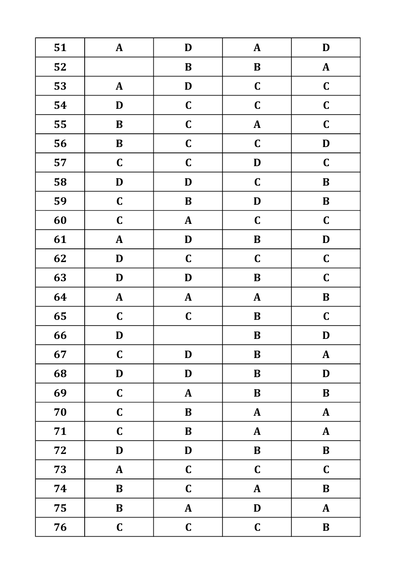| 51 | $\mathbf{A}$ | $\mathbf D$   | $\mathbf{A}$ | $\mathbf D$  |
|----|--------------|---------------|--------------|--------------|
| 52 |              | $\bf{B}$      | $\, {\bf B}$ | $\mathbf{A}$ |
| 53 | ${\bf A}$    | $\mathbf D$   | $\mathbf C$  | $\mathbf C$  |
| 54 | D            | $\mathbf C$   | $\mathbf C$  | $\mathbf C$  |
| 55 | $\bf{B}$     | $\mathbf C$   | ${\bf A}$    | $\mathbf C$  |
| 56 | $\bf{B}$     | $\mathbf C$   | $\mathbf C$  | $\mathbf D$  |
| 57 | $\mathbf C$  | $\mathbf C$   | $\mathbf D$  | $\mathbf C$  |
| 58 | D            | D             | $\mathbf C$  | $\bf{B}$     |
| 59 | $\mathbf C$  | $\, {\bf B}$  | $\mathbf D$  | $\, {\bf B}$ |
| 60 | $\mathbf C$  | ${\bf A}$     | $\mathbf C$  | $\mathbf C$  |
| 61 | $\pmb{A}$    | $\mathbf{D}%$ | $\, {\bf B}$ | $\mathbf D$  |
| 62 | D            | $\mathbf C$   | $\mathbf C$  | $\mathbf C$  |
| 63 | D            | $\mathbf D$   | $\bf{B}$     | $\mathbf C$  |
| 64 | $\mathbf{A}$ | ${\bf A}$     | ${\bf A}$    | $\, {\bf B}$ |
| 65 | $\mathbf C$  | $\mathbf C$   | $\bf{B}$     | $\mathbf C$  |
| 66 | $\mathbf D$  |               | $\, {\bf B}$ | $\mathbf D$  |
| 67 | $\mathbf C$  | D             | B            | $\pmb{A}$    |
| 68 | $\mathbf D$  | D             | $\bf{B}$     | D            |
| 69 | $\mathbf C$  | ${\bf A}$     | $\, {\bf B}$ | $\, {\bf B}$ |
| 70 | $\mathbf C$  | $\bf{B}$      | $\mathbf{A}$ | $\mathbf{A}$ |
| 71 | $\mathbf C$  | $\, {\bf B}$  | $\pmb{A}$    | ${\bf A}$    |
| 72 | D            | D             | $\, {\bf B}$ | $\bf{B}$     |
| 73 | ${\bf A}$    | $\mathbf C$   | $\mathbf C$  | $\mathbf C$  |
| 74 | $\bf{B}$     | $\mathbf C$   | $\mathbf{A}$ | $\, {\bf B}$ |
| 75 | $\bf{B}$     | ${\bf A}$     | $\mathbf D$  | $\mathbf{A}$ |
| 76 | $\mathbf C$  | $\mathbf C$   | $\mathbf C$  | $\, {\bf B}$ |